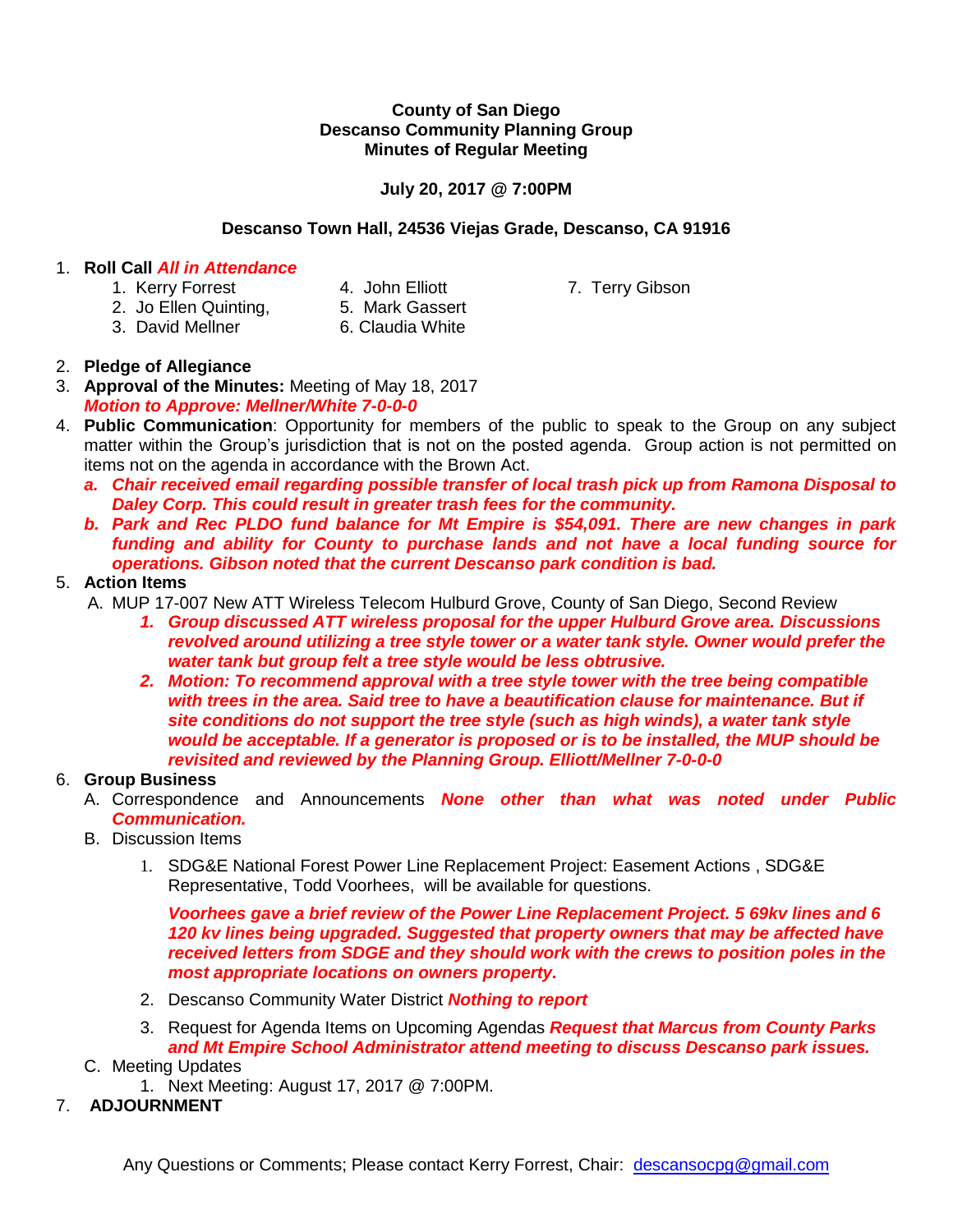#### **County of San Diego Descanso Community Planning Group Minutes of Regular Meeting**

## **July 20, 2017 @ 7:00PM**

## **Descanso Town Hall, 24536 Viejas Grade, Descanso, CA 91916**

## 1. **Roll Call** *All in Attendance*

- 1. Kerry Forrest **4. John Elliott** 7. Terry Gibson
	-
- 2. Jo Ellen Quinting, 5. Mark Gassert
	-
	-
- 3. David Mellner 6. Claudia White

## 2. **Pledge of Allegiance**

- 3. **Approval of the Minutes:** Meeting of May 18, 2017 *Motion to Approve: Mellner/White 7-0-0-0*
- 4. **Public Communication**: Opportunity for members of the public to speak to the Group on any subject matter within the Group's jurisdiction that is not on the posted agenda. Group action is not permitted on items not on the agenda in accordance with the Brown Act.
	- *a. Chair received email regarding possible transfer of local trash pick up from Ramona Disposal to Daley Corp. This could result in greater trash fees for the community.*
	- *b. Park and Rec PLDO fund balance for Mt Empire is \$54,091. There are new changes in park funding and ability for County to purchase lands and not have a local funding source for operations. Gibson noted that the current Descanso park condition is bad.*

## 5. **Action Items**

- A. MUP 17-007 New ATT Wireless Telecom Hulburd Grove, County of San Diego, Second Review
	- *1. Group discussed ATT wireless proposal for the upper Hulburd Grove area. Discussions revolved around utilizing a tree style tower or a water tank style. Owner would prefer the water tank but group felt a tree style would be less obtrusive.*
	- *2. Motion: To recommend approval with a tree style tower with the tree being compatible with trees in the area. Said tree to have a beautification clause for maintenance. But if site conditions do not support the tree style (such as high winds), a water tank style would be acceptable. If a generator is proposed or is to be installed, the MUP should be revisited and reviewed by the Planning Group. Elliott/Mellner 7-0-0-0*

# 6. **Group Business**

- A. Correspondence and Announcements *None other than what was noted under Public Communication.*
- B. Discussion Items
	- 1. SDG&E National Forest Power Line Replacement Project: Easement Actions , SDG&E Representative, Todd Voorhees, will be available for questions.

*Voorhees gave a brief review of the Power Line Replacement Project. 5 69kv lines and 6 120 kv lines being upgraded. Suggested that property owners that may be affected have received letters from SDGE and they should work with the crews to position poles in the most appropriate locations on owners property.*

- 2. Descanso Community Water District *Nothing to report*
- 3. Request for Agenda Items on Upcoming Agendas *Request that Marcus from County Parks and Mt Empire School Administrator attend meeting to discuss Descanso park issues.*
- C. Meeting Updates
	- 1. Next Meeting: August 17, 2017 @ 7:00PM.
- 7. **ADJOURNMENT**